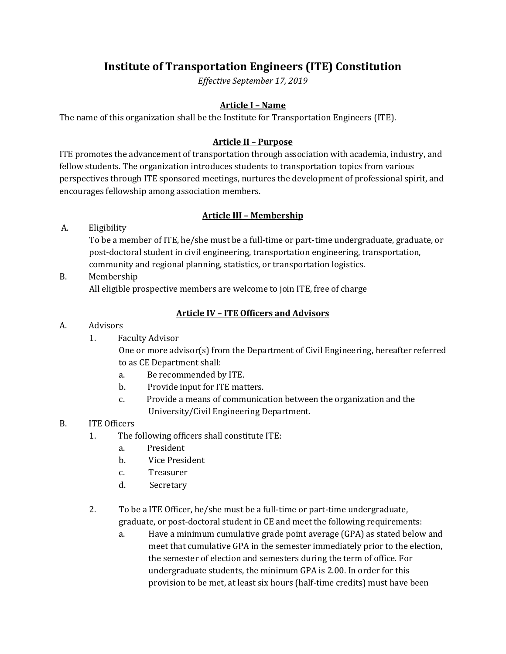# **Institute of Transportation Engineers (ITE) Constitution**

*Effective September 17, 2019*

### **Article I – Name**

The name of this organization shall be the Institute for Transportation Engineers (ITE).

#### **Article II – Purpose**

ITE promotes the advancement of transportation through association with academia, industry, and fellow students. The organization introduces students to transportation topics from various perspectives through ITE sponsored meetings, nurtures the development of professional spirit, and encourages fellowship among association members.

### **Article III – Membership**

A. Eligibility

To be a member of ITE, he/she must be a full‐time or part‐time undergraduate, graduate, or post‐doctoral student in civil engineering, transportation engineering, transportation, community and regional planning, statistics, or transportation logistics.

B. Membership All eligible prospective members are welcome to join ITE, free of charge

## **Article IV – ITE Officers and Advisors**

#### A. Advisors

1. Faculty Advisor

One or more advisor(s) from the Department of Civil Engineering, hereafter referred to as CE Department shall:

- a. Be recommended by ITE.
- b. Provide input for ITE matters.
- c. Provide a means of communication between the organization and the University/Civil Engineering Department.

### B. ITE Officers

- 1. The following officers shall constitute ITE:
	- a. President
	- b. Vice President
	- c. Treasurer
	- d. Secretary
- 2. To be a ITE Officer, he/she must be a full-time or part-time undergraduate, graduate, or post‐doctoral student in CE and meet the following requirements:
	- a. Have a minimum cumulative grade point average (GPA) as stated below and meet that cumulative GPA in the semester immediately prior to the election, the semester of election and semesters during the term of office. For undergraduate students, the minimum GPA is 2.00. In order for this provision to be met, at least six hours (half‐time credits) must have been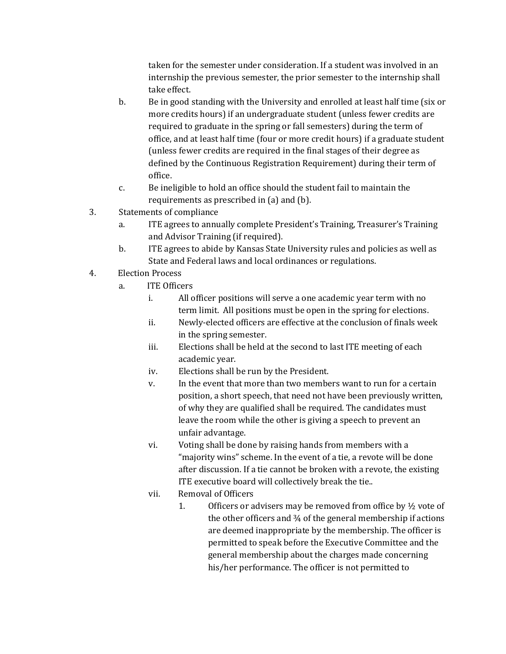taken for the semester under consideration. If a student was involved in an internship the previous semester, the prior semester to the internship shall take effect.

- b. Be in good standing with the University and enrolled at least half time (six or more credits hours) if an undergraduate student (unless fewer credits are required to graduate in the spring or fall semesters) during the term of office, and at least half time (four or more credit hours) if a graduate student (unless fewer credits are required in the final stages of their degree as defined by the Continuous Registration Requirement) during their term of office.
- c. Be ineligible to hold an office should the student fail to maintain the requirements as prescribed in (a) and (b).
- 3. Statements of compliance
	- a. ITE agrees to annually complete President's Training, Treasurer's Training and Advisor Training (if required).
	- b. ITE agrees to abide by Kansas State University rules and policies as well as State and Federal laws and local ordinances or regulations.
- 4. Election Process
	- a. ITE Officers
		- i. All officer positions will serve a one academic year term with no term limit. All positions must be open in the spring for elections.
		- ii. Newly-elected officers are effective at the conclusion of finals week in the spring semester.
		- iii. Elections shall be held at the second to last ITE meeting of each academic year.
		- iv. Elections shall be run by the President.
		- v. In the event that more than two members want to run for a certain position, a short speech, that need not have been previously written, of why they are qualified shall be required. The candidates must leave the room while the other is giving a speech to prevent an unfair advantage.
		- vi. Voting shall be done by raising hands from members with a "majority wins" scheme. In the event of a tie, a revote will be done after discussion. If a tie cannot be broken with a revote, the existing ITE executive board will collectively break the tie..
		- vii. Removal of Officers
			- 1. Officers or advisers may be removed from office by  $\frac{1}{2}$  vote of the other officers and ¾ of the general membership if actions are deemed inappropriate by the membership. The officer is permitted to speak before the Executive Committee and the general membership about the charges made concerning his/her performance. The officer is not permitted to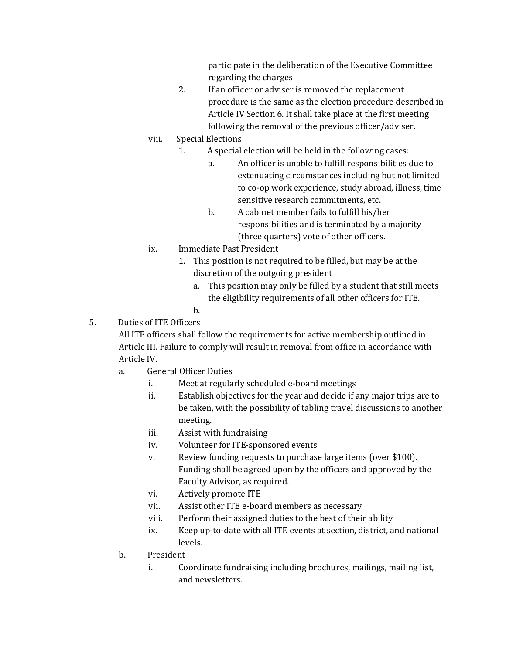participate in the deliberation of the Executive Committee regarding the charges

- 2. If an officer or adviser is removed the replacement procedure is the same as the election procedure described in Article IV Section 6. It shall take place at the first meeting following the removal of the previous officer/adviser.
- viii. Special Elections
	- 1. A special election will be held in the following cases:
		- a. An officer is unable to fulfill responsibilities due to extenuating circumstances including but not limited to co‐op work experience, study abroad, illness, time sensitive research commitments, etc.
		- b. A cabinet member fails to fulfill his/her responsibilities and is terminated by a majority (three quarters) vote of other officers.
- ix. Immediate Past President
	- 1. This position is not required to be filled, but may be at the discretion of the outgoing president
		- a. This position may only be filled by a student that still meets the eligibility requirements of all other officers for ITE.
		- b.
- 5. Duties of ITE Officers

All ITE officers shall follow the requirements for active membership outlined in Article III. Failure to comply will result in removal from office in accordance with Article IV.

- a. General Officer Duties
	- Meet at regularly scheduled e-board meetings
	- ii. Establish objectives for the year and decide if any major trips are to be taken, with the possibility of tabling travel discussions to another meeting.
	- iii. Assist with fundraising
	- iv. Volunteer for ITE-sponsored events
	- v. Review funding requests to purchase large items (over \$100). Funding shall be agreed upon by the officers and approved by the Faculty Advisor, as required.
	- vi. Actively promote ITE
	- vii. Assist other ITE e-board members as necessary
	- viii. Perform their assigned duties to the best of their ability
	- ix. Keep up-to-date with all ITE events at section, district, and national levels.
- b. President
	- i. Coordinate fundraising including brochures, mailings, mailing list, and newsletters.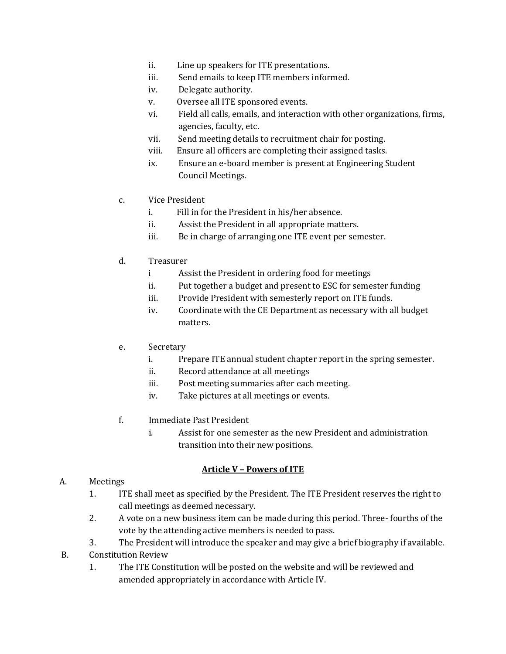- ii. Line up speakers for ITE presentations.
- iii. Send emails to keep ITE members informed.
- iv. Delegate authority.
- v. Oversee all ITE sponsored events.
- vi. Field all calls, emails, and interaction with other organizations, firms, agencies, faculty, etc.
- vii. Send meeting details to recruitment chair for posting.
- viii. Ensure all officers are completing their assigned tasks.
- ix. Ensure an e-board member is present at Engineering Student Council Meetings.
- c. Vice President
	- i. Fill in for the President in his/her absence.
	- ii. Assist the President in all appropriate matters.
	- iii. Be in charge of arranging one ITE event per semester.
- d. Treasurer
	- i Assist the President in ordering food for meetings
	- ii. Put together a budget and present to ESC for semester funding
	- iii. Provide President with semesterly report on ITE funds.
	- iv. Coordinate with the CE Department as necessary with all budget matters.
- e. Secretary
	- i. Prepare ITE annual student chapter report in the spring semester.
	- ii. Record attendance at all meetings
	- iii. Post meeting summaries after each meeting.
	- iv. Take pictures at all meetings or events.
- f. Immediate Past President
	- i. Assist for one semester as the new President and administration transition into their new positions.

### **Article V – Powers of ITE**

#### A. Meetings

- 1. ITE shall meet as specified by the President. The ITE President reserves the right to call meetings as deemed necessary.
- 2. A vote on a new business item can be made during this period. Three-fourths of the vote by the attending active members is needed to pass.
- 3. The President will introduce the speaker and may give a brief biography if available.
- B. Constitution Review
	- 1. The ITE Constitution will be posted on the website and will be reviewed and amended appropriately in accordance with Article IV.